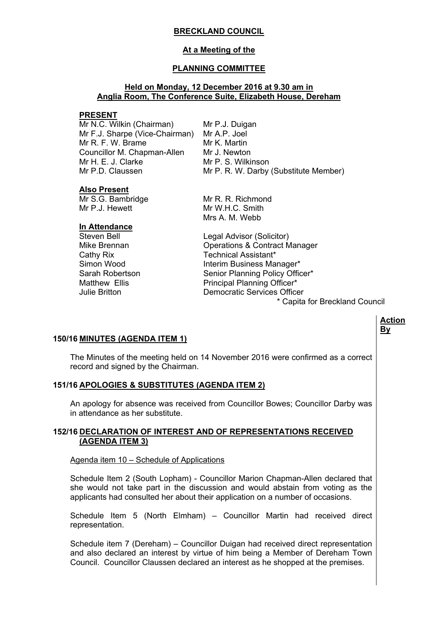## **BRECKLAND COUNCIL**

# **At a Meeting of the**

## **PLANNING COMMITTEE**

## **Held on Monday, 12 December 2016 at 9.30 am in Anglia Room, The Conference Suite, Elizabeth House, Dereham**

#### **PRESENT**

Mr N.C. Wilkin (Chairman) Mr F.J. Sharpe (Vice-Chairman) Mr A.P. Joel Mr R. F. W. Brame Councillor M. Chapman-Allen Mr H. E. J. Clarke Mr P.D. Claussen

Mr P.J. Duigan Mr K. Martin Mr J. Newton Mr P. S. Wilkinson Mr P. R. W. Darby (Substitute Member)

## **Also Present**

Mr S.G. Bambridge Mr P.J. Hewett

## **In Attendance**

Mr R. R. Richmond Mr W.H.C. Smith Mrs A. M. Webb

Steven Bell **Legal Advisor (Solicitor)** Mike Brennan Operations & Contract Manager Cathy Rix Technical Assistant\* Simon Wood **Interim Business Manager\*** Sarah Robertson Senior Planning Policy Officer\* Matthew Ellis **Principal Planning Officer\*** Julie Britton Democratic Services Officer \* Capita for Breckland Council

## **Action By**

## **150/16 MINUTES (AGENDA ITEM 1)**

The Minutes of the meeting held on 14 November 2016 were confirmed as a correct record and signed by the Chairman.

## **151/16 APOLOGIES & SUBSTITUTES (AGENDA ITEM 2)**

An apology for absence was received from Councillor Bowes; Councillor Darby was in attendance as her substitute.

## **152/16 DECLARATION OF INTEREST AND OF REPRESENTATIONS RECEIVED (AGENDA ITEM 3)**

## Agenda item 10 – Schedule of Applications

Schedule Item 2 (South Lopham) - Councillor Marion Chapman-Allen declared that she would not take part in the discussion and would abstain from voting as the applicants had consulted her about their application on a number of occasions.

Schedule Item 5 (North Elmham) – Councillor Martin had received direct representation.

Schedule item 7 (Dereham) – Councillor Duigan had received direct representation and also declared an interest by virtue of him being a Member of Dereham Town Council. Councillor Claussen declared an interest as he shopped at the premises.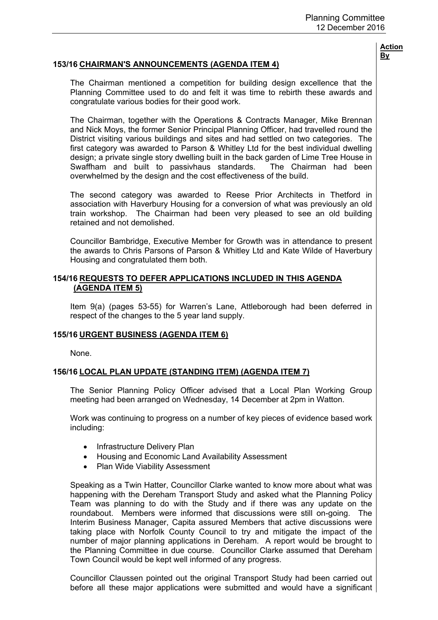## **153/16 CHAIRMAN'S ANNOUNCEMENTS (AGENDA ITEM 4)**

The Chairman mentioned a competition for building design excellence that the Planning Committee used to do and felt it was time to rebirth these awards and congratulate various bodies for their good work.

The Chairman, together with the Operations & Contracts Manager, Mike Brennan and Nick Moys, the former Senior Principal Planning Officer, had travelled round the District visiting various buildings and sites and had settled on two categories. The first category was awarded to Parson & Whitley Ltd for the best individual dwelling design; a private single story dwelling built in the back garden of Lime Tree House in Swaffham and built to passivhaus standards. The Chairman had been overwhelmed by the design and the cost effectiveness of the build.

The second category was awarded to Reese Prior Architects in Thetford in association with Haverbury Housing for a conversion of what was previously an old train workshop. The Chairman had been very pleased to see an old building retained and not demolished.

Councillor Bambridge, Executive Member for Growth was in attendance to present the awards to Chris Parsons of Parson & Whitley Ltd and Kate Wilde of Haverbury Housing and congratulated them both.

## **154/16 REQUESTS TO DEFER APPLICATIONS INCLUDED IN THIS AGENDA (AGENDA ITEM 5)**

Item 9(a) (pages 53-55) for Warren's Lane, Attleborough had been deferred in respect of the changes to the 5 year land supply.

## **155/16 URGENT BUSINESS (AGENDA ITEM 6)**

None.

## **156/16 LOCAL PLAN UPDATE (STANDING ITEM) (AGENDA ITEM 7)**

The Senior Planning Policy Officer advised that a Local Plan Working Group meeting had been arranged on Wednesday, 14 December at 2pm in Watton.

Work was continuing to progress on a number of key pieces of evidence based work including:

- Infrastructure Delivery Plan
- Housing and Economic Land Availability Assessment
- Plan Wide Viability Assessment

Speaking as a Twin Hatter, Councillor Clarke wanted to know more about what was happening with the Dereham Transport Study and asked what the Planning Policy Team was planning to do with the Study and if there was any update on the roundabout. Members were informed that discussions were still on-going. The Interim Business Manager, Capita assured Members that active discussions were taking place with Norfolk County Council to try and mitigate the impact of the number of major planning applications in Dereham. A report would be brought to the Planning Committee in due course. Councillor Clarke assumed that Dereham Town Council would be kept well informed of any progress.

Councillor Claussen pointed out the original Transport Study had been carried out before all these major applications were submitted and would have a significant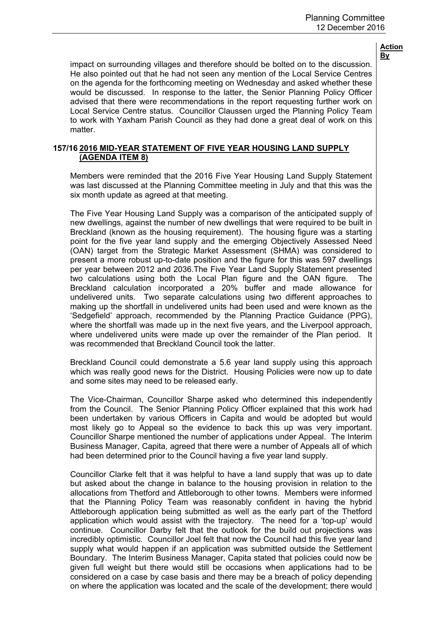impact on surrounding villages and therefore should be bolted on to the discussion. He also pointed out that he had not seen any mention of the Local Service Centres on the agenda for the forthcoming meeting on Wednesday and asked whether these would be discussed. In response to the latter, the Senior Planning Policy Officer advised that there were recommendations in the report requesting further work on Local Service Centre status. Councillor Claussen urged the Planning Policy Team to work with Yaxham Parish Council as they had done a great deal of work on this matter.

## **157/16 2016 MID-YEAR STATEMENT OF FIVE YEAR HOUSING LAND SUPPLY (AGENDA ITEM 8)**

Members were reminded that the 2016 Five Year Housing Land Supply Statement was last discussed at the Planning Committee meeting in July and that this was the six month update as agreed at that meeting.

The Five Year Housing Land Supply was a comparison of the anticipated supply of new dwellings, against the number of new dwellings that were required to be built in Breckland (known as the housing requirement). The housing figure was a starting point for the five year land supply and the emerging Objectively Assessed Need (OAN) target from the Strategic Market Assessment (SHMA) was considered to present a more robust up-to-date position and the figure for this was 597 dwellings per year between 2012 and 2036.The Five Year Land Supply Statement presented two calculations using both the Local Plan figure and the OAN figure. The Breckland calculation incorporated a 20% buffer and made allowance for undelivered units. Two separate calculations using two different approaches to making up the shortfall in undelivered units had been used and were known as the 'Sedgefield' approach, recommended by the Planning Practice Guidance (PPG), where the shortfall was made up in the next five years, and the Liverpool approach, where undelivered units were made up over the remainder of the Plan period. It was recommended that Breckland Council took the latter

Breckland Council could demonstrate a 5.6 year land supply using this approach which was really good news for the District. Housing Policies were now up to date and some sites may need to be released early.

The Vice-Chairman, Councillor Sharpe asked who determined this independently from the Council. The Senior Planning Policy Officer explained that this work had been undertaken by various Officers in Capita and would be adopted but would most likely go to Appeal so the evidence to back this up was very important. Councillor Sharpe mentioned the number of applications under Appeal. The Interim Business Manager, Capita, agreed that there were a number of Appeals all of which had been determined prior to the Council having a five year land supply.

Councillor Clarke felt that it was helpful to have a land supply that was up to date but asked about the change in balance to the housing provision in relation to the allocations from Thetford and Attleborough to other towns. Members were informed that the Planning Policy Team was reasonably confident in having the hybrid Attleborough application being submitted as well as the early part of the Thetford application which would assist with the trajectory. The need for a 'top-up' would continue. Councillor Darby felt that the outlook for the build out projections was incredibly optimistic. Councillor Joel felt that now the Council had this five year land supply what would happen if an application was submitted outside the Settlement Boundary. The Interim Business Manager, Capita stated that policies could now be given full weight but there would still be occasions when applications had to be considered on a case by case basis and there may be a breach of policy depending on where the application was located and the scale of the development; there would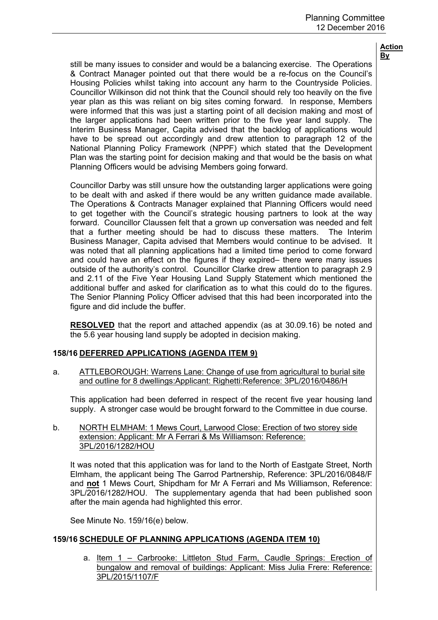still be many issues to consider and would be a balancing exercise. The Operations & Contract Manager pointed out that there would be a re-focus on the Council's Housing Policies whilst taking into account any harm to the Countryside Policies. Councillor Wilkinson did not think that the Council should rely too heavily on the five year plan as this was reliant on big sites coming forward. In response, Members were informed that this was just a starting point of all decision making and most of the larger applications had been written prior to the five year land supply. The Interim Business Manager, Capita advised that the backlog of applications would have to be spread out accordingly and drew attention to paragraph 12 of the National Planning Policy Framework (NPPF) which stated that the Development Plan was the starting point for decision making and that would be the basis on what Planning Officers would be advising Members going forward.

Councillor Darby was still unsure how the outstanding larger applications were going to be dealt with and asked if there would be any written guidance made available. The Operations & Contracts Manager explained that Planning Officers would need to get together with the Council's strategic housing partners to look at the way forward. Councillor Claussen felt that a grown up conversation was needed and felt that a further meeting should be had to discuss these matters. The Interim Business Manager, Capita advised that Members would continue to be advised. It was noted that all planning applications had a limited time period to come forward and could have an effect on the figures if they expired– there were many issues outside of the authority's control. Councillor Clarke drew attention to paragraph 2.9 and 2.11 of the Five Year Housing Land Supply Statement which mentioned the additional buffer and asked for clarification as to what this could do to the figures. The Senior Planning Policy Officer advised that this had been incorporated into the figure and did include the buffer.

**RESOLVED** that the report and attached appendix (as at 30.09.16) be noted and the 5.6 year housing land supply be adopted in decision making.

## **158/16 DEFERRED APPLICATIONS (AGENDA ITEM 9)**

a. ATTLEBOROUGH: Warrens Lane: Change of use from agricultural to burial site and outline for 8 dwellings:Applicant: Righetti:Reference: 3PL/2016/0486/H

This application had been deferred in respect of the recent five year housing land supply. A stronger case would be brought forward to the Committee in due course.

b. NORTH ELMHAM: 1 Mews Court, Larwood Close: Erection of two storey side extension: Applicant: Mr A Ferrari & Ms Williamson: Reference: 3PL/2016/1282/HOU

It was noted that this application was for land to the North of Eastgate Street, North Elmham, the applicant being The Garrod Partnership, Reference: 3PL/2016/0848/F and **not** 1 Mews Court, Shipdham for Mr A Ferrari and Ms Williamson, Reference: 3PL/2016/1282/HOU. The supplementary agenda that had been published soon after the main agenda had highlighted this error.

See Minute No. 159/16(e) below.

# **159/16 SCHEDULE OF PLANNING APPLICATIONS (AGENDA ITEM 10)**

a. Item 1 – Carbrooke: Littleton Stud Farm, Caudle Springs: Erection of bungalow and removal of buildings: Applicant: Miss Julia Frere: Reference: 3PL/2015/1107/F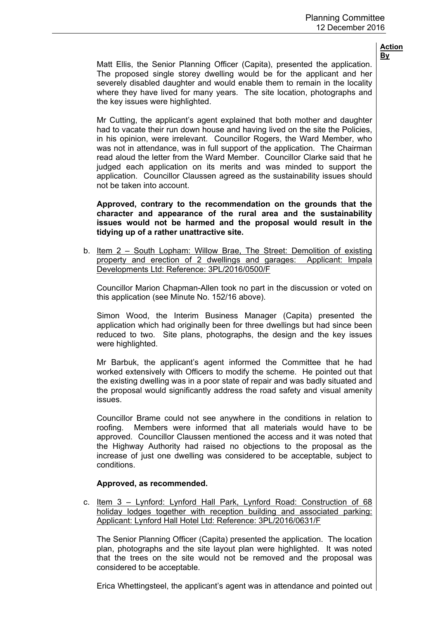Matt Ellis, the Senior Planning Officer (Capita), presented the application. The proposed single storey dwelling would be for the applicant and her severely disabled daughter and would enable them to remain in the locality where they have lived for many years. The site location, photographs and the key issues were highlighted.

Mr Cutting, the applicant's agent explained that both mother and daughter had to vacate their run down house and having lived on the site the Policies, in his opinion, were irrelevant. Councillor Rogers, the Ward Member, who was not in attendance, was in full support of the application. The Chairman read aloud the letter from the Ward Member. Councillor Clarke said that he judged each application on its merits and was minded to support the application. Councillor Claussen agreed as the sustainability issues should not be taken into account.

**Approved, contrary to the recommendation on the grounds that the character and appearance of the rural area and the sustainability issues would not be harmed and the proposal would result in the tidying up of a rather unattractive site.**

b. Item 2 – South Lopham: Willow Brae, The Street: Demolition of existing property and erection of 2 dwellings and garages: Applicant: Impala Developments Ltd: Reference: 3PL/2016/0500/F

Councillor Marion Chapman-Allen took no part in the discussion or voted on this application (see Minute No. 152/16 above).

Simon Wood, the Interim Business Manager (Capita) presented the application which had originally been for three dwellings but had since been reduced to two. Site plans, photographs, the design and the key issues were highlighted.

Mr Barbuk, the applicant's agent informed the Committee that he had worked extensively with Officers to modify the scheme. He pointed out that the existing dwelling was in a poor state of repair and was badly situated and the proposal would significantly address the road safety and visual amenity issues.

Councillor Brame could not see anywhere in the conditions in relation to roofing. Members were informed that all materials would have to be approved. Councillor Claussen mentioned the access and it was noted that the Highway Authority had raised no objections to the proposal as the increase of just one dwelling was considered to be acceptable, subject to conditions.

## **Approved, as recommended.**

c. Item 3 – Lynford: Lynford Hall Park, Lynford Road: Construction of 68 holiday lodges together with reception building and associated parking: Applicant: Lynford Hall Hotel Ltd: Reference: 3PL/2016/0631/F

The Senior Planning Officer (Capita) presented the application. The location plan, photographs and the site layout plan were highlighted. It was noted that the trees on the site would not be removed and the proposal was considered to be acceptable.

Erica Whettingsteel, the applicant's agent was in attendance and pointed out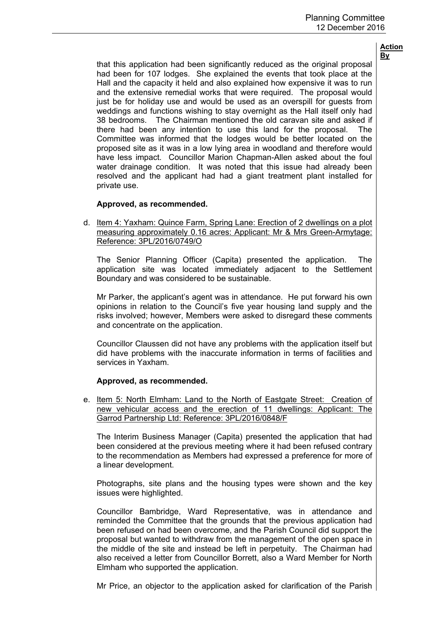that this application had been significantly reduced as the original proposal had been for 107 lodges. She explained the events that took place at the Hall and the capacity it held and also explained how expensive it was to run and the extensive remedial works that were required. The proposal would just be for holiday use and would be used as an overspill for guests from weddings and functions wishing to stay overnight as the Hall itself only had 38 bedrooms. The Chairman mentioned the old caravan site and asked if there had been any intention to use this land for the proposal. The Committee was informed that the lodges would be better located on the proposed site as it was in a low lying area in woodland and therefore would have less impact. Councillor Marion Chapman-Allen asked about the foul water drainage condition. It was noted that this issue had already been resolved and the applicant had had a giant treatment plant installed for private use.

## **Approved, as recommended.**

d. Item 4: Yaxham: Quince Farm, Spring Lane: Erection of 2 dwellings on a plot measuring approximately 0.16 acres: Applicant: Mr & Mrs Green-Armytage: Reference: 3PL/2016/0749/O

The Senior Planning Officer (Capita) presented the application. The application site was located immediately adjacent to the Settlement Boundary and was considered to be sustainable.

Mr Parker, the applicant's agent was in attendance. He put forward his own opinions in relation to the Council's five year housing land supply and the risks involved; however, Members were asked to disregard these comments and concentrate on the application.

Councillor Claussen did not have any problems with the application itself but did have problems with the inaccurate information in terms of facilities and services in Yaxham.

## **Approved, as recommended.**

e. Item 5: North Elmham: Land to the North of Eastgate Street: Creation of new vehicular access and the erection of 11 dwellings: Applicant: The Garrod Partnership Ltd: Reference: 3PL/2016/0848/F

The Interim Business Manager (Capita) presented the application that had been considered at the previous meeting where it had been refused contrary to the recommendation as Members had expressed a preference for more of a linear development.

Photographs, site plans and the housing types were shown and the key issues were highlighted.

Councillor Bambridge, Ward Representative, was in attendance and reminded the Committee that the grounds that the previous application had been refused on had been overcome, and the Parish Council did support the proposal but wanted to withdraw from the management of the open space in the middle of the site and instead be left in perpetuity. The Chairman had also received a letter from Councillor Borrett, also a Ward Member for North Elmham who supported the application.

Mr Price, an objector to the application asked for clarification of the Parish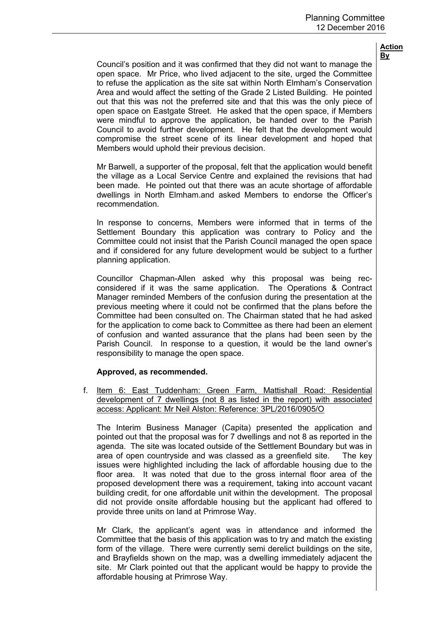Council's position and it was confirmed that they did not want to manage the open space. Mr Price, who lived adjacent to the site, urged the Committee to refuse the application as the site sat within North Elmham's Conservation Area and would affect the setting of the Grade 2 Listed Building. He pointed out that this was not the preferred site and that this was the only piece of open space on Eastgate Street. He asked that the open space, if Members were mindful to approve the application, be handed over to the Parish Council to avoid further development. He felt that the development would compromise the street scene of its linear development and hoped that Members would uphold their previous decision.

Mr Barwell, a supporter of the proposal, felt that the application would benefit the village as a Local Service Centre and explained the revisions that had been made. He pointed out that there was an acute shortage of affordable dwellings in North Elmham.and asked Members to endorse the Officer's recommendation.

In response to concerns, Members were informed that in terms of the Settlement Boundary this application was contrary to Policy and the Committee could not insist that the Parish Council managed the open space and if considered for any future development would be subject to a further planning application.

Councillor Chapman-Allen asked why this proposal was being recconsidered if it was the same application. The Operations & Contract Manager reminded Members of the confusion during the presentation at the previous meeting where it could not be confirmed that the plans before the Committee had been consulted on. The Chairman stated that he had asked for the application to come back to Committee as there had been an element of confusion and wanted assurance that the plans had been seen by the Parish Council. In response to a question, it would be the land owner's responsibility to manage the open space.

## **Approved, as recommended.**

f. Item 6: East Tuddenham: Green Farm, Mattishall Road: Residential development of 7 dwellings (not 8 as listed in the report) with associated access: Applicant: Mr Neil Alston: Reference: 3PL/2016/0905/O

The Interim Business Manager (Capita) presented the application and pointed out that the proposal was for 7 dwellings and not 8 as reported in the agenda. The site was located outside of the Settlement Boundary but was in area of open countryside and was classed as a greenfield site. The key issues were highlighted including the lack of affordable housing due to the floor area. It was noted that due to the gross internal floor area of the proposed development there was a requirement, taking into account vacant building credit, for one affordable unit within the development. The proposal did not provide onsite affordable housing but the applicant had offered to provide three units on land at Primrose Way.

Mr Clark, the applicant's agent was in attendance and informed the Committee that the basis of this application was to try and match the existing form of the village. There were currently semi derelict buildings on the site, and Brayfields shown on the map, was a dwelling immediately adjacent the site. Mr Clark pointed out that the applicant would be happy to provide the affordable housing at Primrose Way.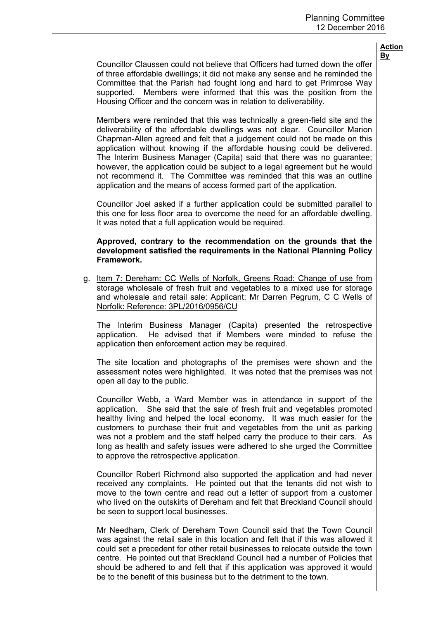Councillor Claussen could not believe that Officers had turned down the offer of three affordable dwellings; it did not make any sense and he reminded the Committee that the Parish had fought long and hard to get Primrose Way supported. Members were informed that this was the position from the Housing Officer and the concern was in relation to deliverability.

Members were reminded that this was technically a green-field site and the deliverability of the affordable dwellings was not clear. Councillor Marion Chapman-Allen agreed and felt that a judgement could not be made on this application without knowing if the affordable housing could be delivered. The Interim Business Manager (Capita) said that there was no guarantee; however, the application could be subject to a legal agreement but he would not recommend it. The Committee was reminded that this was an outline application and the means of access formed part of the application.

Councillor Joel asked if a further application could be submitted parallel to this one for less floor area to overcome the need for an affordable dwelling. It was noted that a full application would be required.

## **Approved, contrary to the recommendation on the grounds that the development satisfied the requirements in the National Planning Policy Framework.**

g. Item 7: Dereham: CC Wells of Norfolk, Greens Road: Change of use from storage wholesale of fresh fruit and vegetables to a mixed use for storage and wholesale and retail sale: Applicant: Mr Darren Pegrum, C C Wells of Norfolk: Reference: 3PL/2016/0956/CU

The Interim Business Manager (Capita) presented the retrospective application. He advised that if Members were minded to refuse the application then enforcement action may be required.

The site location and photographs of the premises were shown and the assessment notes were highlighted. It was noted that the premises was not open all day to the public.

Councillor Webb, a Ward Member was in attendance in support of the application. She said that the sale of fresh fruit and vegetables promoted healthy living and helped the local economy. It was much easier for the customers to purchase their fruit and vegetables from the unit as parking was not a problem and the staff helped carry the produce to their cars. As long as health and safety issues were adhered to she urged the Committee to approve the retrospective application.

Councillor Robert Richmond also supported the application and had never received any complaints. He pointed out that the tenants did not wish to move to the town centre and read out a letter of support from a customer who lived on the outskirts of Dereham and felt that Breckland Council should be seen to support local businesses.

Mr Needham, Clerk of Dereham Town Council said that the Town Council was against the retail sale in this location and felt that if this was allowed it could set a precedent for other retail businesses to relocate outside the town centre. He pointed out that Breckland Council had a number of Policies that should be adhered to and felt that if this application was approved it would be to the benefit of this business but to the detriment to the town.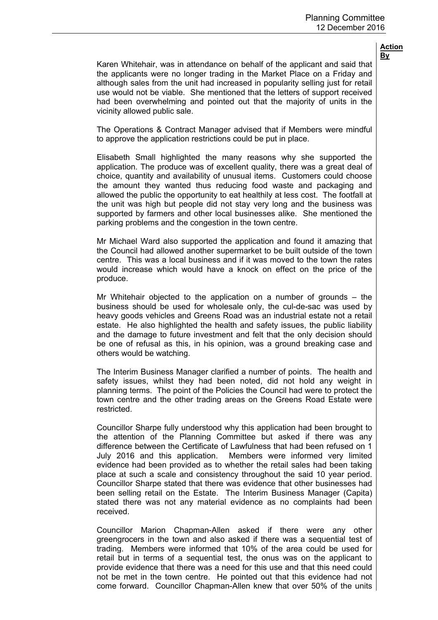Karen Whitehair, was in attendance on behalf of the applicant and said that the applicants were no longer trading in the Market Place on a Friday and although sales from the unit had increased in popularity selling just for retail use would not be viable. She mentioned that the letters of support received had been overwhelming and pointed out that the majority of units in the vicinity allowed public sale.

The Operations & Contract Manager advised that if Members were mindful to approve the application restrictions could be put in place.

Elisabeth Small highlighted the many reasons why she supported the application. The produce was of excellent quality, there was a great deal of choice, quantity and availability of unusual items. Customers could choose the amount they wanted thus reducing food waste and packaging and allowed the public the opportunity to eat healthily at less cost. The footfall at the unit was high but people did not stay very long and the business was supported by farmers and other local businesses alike. She mentioned the parking problems and the congestion in the town centre.

Mr Michael Ward also supported the application and found it amazing that the Council had allowed another supermarket to be built outside of the town centre. This was a local business and if it was moved to the town the rates would increase which would have a knock on effect on the price of the produce.

Mr Whitehair objected to the application on a number of grounds  $-$  the business should be used for wholesale only, the cul-de-sac was used by heavy goods vehicles and Greens Road was an industrial estate not a retail estate. He also highlighted the health and safety issues, the public liability and the damage to future investment and felt that the only decision should be one of refusal as this, in his opinion, was a ground breaking case and others would be watching.

The Interim Business Manager clarified a number of points. The health and safety issues, whilst they had been noted, did not hold any weight in planning terms. The point of the Policies the Council had were to protect the town centre and the other trading areas on the Greens Road Estate were restricted.

Councillor Sharpe fully understood why this application had been brought to the attention of the Planning Committee but asked if there was any difference between the Certificate of Lawfulness that had been refused on 1 July 2016 and this application. Members were informed very limited evidence had been provided as to whether the retail sales had been taking place at such a scale and consistency throughout the said 10 year period. Councillor Sharpe stated that there was evidence that other businesses had been selling retail on the Estate. The Interim Business Manager (Capita) stated there was not any material evidence as no complaints had been received.

Councillor Marion Chapman-Allen asked if there were any other greengrocers in the town and also asked if there was a sequential test of trading. Members were informed that 10% of the area could be used for retail but in terms of a sequential test, the onus was on the applicant to provide evidence that there was a need for this use and that this need could not be met in the town centre. He pointed out that this evidence had not come forward. Councillor Chapman-Allen knew that over 50% of the units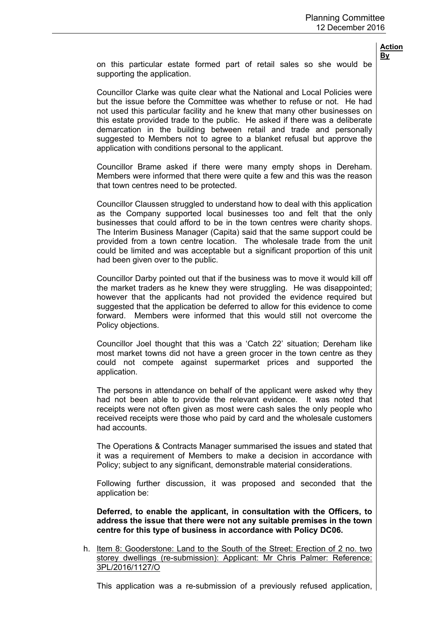on this particular estate formed part of retail sales so she would be supporting the application.

Councillor Clarke was quite clear what the National and Local Policies were but the issue before the Committee was whether to refuse or not. He had not used this particular facility and he knew that many other businesses on this estate provided trade to the public. He asked if there was a deliberate demarcation in the building between retail and trade and personally suggested to Members not to agree to a blanket refusal but approve the application with conditions personal to the applicant.

Councillor Brame asked if there were many empty shops in Dereham. Members were informed that there were quite a few and this was the reason that town centres need to be protected.

Councillor Claussen struggled to understand how to deal with this application as the Company supported local businesses too and felt that the only businesses that could afford to be in the town centres were charity shops. The Interim Business Manager (Capita) said that the same support could be provided from a town centre location. The wholesale trade from the unit could be limited and was acceptable but a significant proportion of this unit had been given over to the public.

Councillor Darby pointed out that if the business was to move it would kill off the market traders as he knew they were struggling. He was disappointed; however that the applicants had not provided the evidence required but suggested that the application be deferred to allow for this evidence to come forward. Members were informed that this would still not overcome the Policy objections.

Councillor Joel thought that this was a 'Catch 22' situation; Dereham like most market towns did not have a green grocer in the town centre as they could not compete against supermarket prices and supported the application.

The persons in attendance on behalf of the applicant were asked why they had not been able to provide the relevant evidence. It was noted that receipts were not often given as most were cash sales the only people who received receipts were those who paid by card and the wholesale customers had accounts.

The Operations & Contracts Manager summarised the issues and stated that it was a requirement of Members to make a decision in accordance with Policy; subject to any significant, demonstrable material considerations.

Following further discussion, it was proposed and seconded that the application be:

**Deferred, to enable the applicant, in consultation with the Officers, to address the issue that there were not any suitable premises in the town centre for this type of business in accordance with Policy DC06.**

h. Item 8: Gooderstone: Land to the South of the Street: Erection of 2 no. two storey dwellings (re-submission): Applicant: Mr Chris Palmer: Reference: 3PL/2016/1127/O

This application was a re-submission of a previously refused application,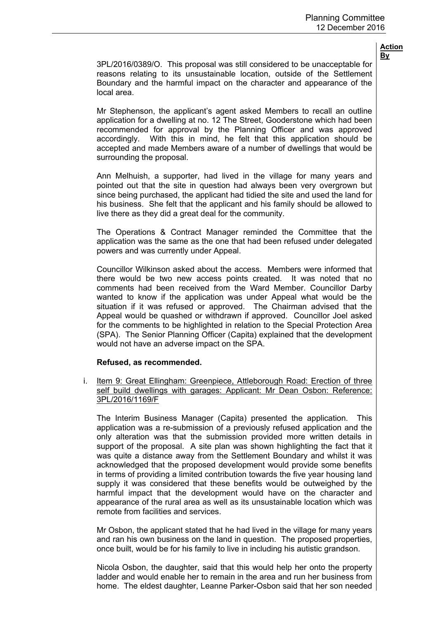3PL/2016/0389/O. This proposal was still considered to be unacceptable for reasons relating to its unsustainable location, outside of the Settlement Boundary and the harmful impact on the character and appearance of the local area.

Mr Stephenson, the applicant's agent asked Members to recall an outline application for a dwelling at no. 12 The Street, Gooderstone which had been recommended for approval by the Planning Officer and was approved accordingly. With this in mind, he felt that this application should be accepted and made Members aware of a number of dwellings that would be surrounding the proposal.

Ann Melhuish, a supporter, had lived in the village for many years and pointed out that the site in question had always been very overgrown but since being purchased, the applicant had tidied the site and used the land for his business. She felt that the applicant and his family should be allowed to live there as they did a great deal for the community.

The Operations & Contract Manager reminded the Committee that the application was the same as the one that had been refused under delegated powers and was currently under Appeal.

Councillor Wilkinson asked about the access. Members were informed that there would be two new access points created. It was noted that no comments had been received from the Ward Member. Councillor Darby wanted to know if the application was under Appeal what would be the situation if it was refused or approved. The Chairman advised that the Appeal would be quashed or withdrawn if approved. Councillor Joel asked for the comments to be highlighted in relation to the Special Protection Area (SPA). The Senior Planning Officer (Capita) explained that the development would not have an adverse impact on the SPA.

## **Refused, as recommended.**

i. Item 9: Great Ellingham: Greenpiece, Attleborough Road: Erection of three self build dwellings with garages: Applicant: Mr Dean Osbon: Reference: 3PL/2016/1169/F

The Interim Business Manager (Capita) presented the application. This application was a re-submission of a previously refused application and the only alteration was that the submission provided more written details in support of the proposal. A site plan was shown highlighting the fact that it was quite a distance away from the Settlement Boundary and whilst it was acknowledged that the proposed development would provide some benefits in terms of providing a limited contribution towards the five year housing land supply it was considered that these benefits would be outweighed by the harmful impact that the development would have on the character and appearance of the rural area as well as its unsustainable location which was remote from facilities and services.

Mr Osbon, the applicant stated that he had lived in the village for many years and ran his own business on the land in question. The proposed properties, once built, would be for his family to live in including his autistic grandson.

Nicola Osbon, the daughter, said that this would help her onto the property ladder and would enable her to remain in the area and run her business from home. The eldest daughter, Leanne Parker-Osbon said that her son needed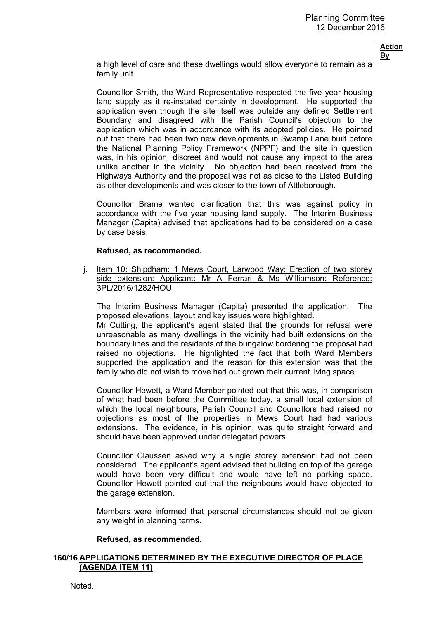a high level of care and these dwellings would allow everyone to remain as a family unit.

Councillor Smith, the Ward Representative respected the five year housing land supply as it re-instated certainty in development. He supported the application even though the site itself was outside any defined Settlement Boundary and disagreed with the Parish Council's objection to the application which was in accordance with its adopted policies. He pointed out that there had been two new developments in Swamp Lane built before the National Planning Policy Framework (NPPF) and the site in question was, in his opinion, discreet and would not cause any impact to the area unlike another in the vicinity. No objection had been received from the Highways Authority and the proposal was not as close to the Listed Building as other developments and was closer to the town of Attleborough.

Councillor Brame wanted clarification that this was against policy in accordance with the five year housing land supply. The Interim Business Manager (Capita) advised that applications had to be considered on a case by case basis.

## **Refused, as recommended.**

j. Item 10: Shipdham: 1 Mews Court, Larwood Way: Erection of two storey side extension: Applicant: Mr A Ferrari & Ms Williamson: Reference: 3PL/2016/1282/HOU

The Interim Business Manager (Capita) presented the application. The proposed elevations, layout and key issues were highlighted.

Mr Cutting, the applicant's agent stated that the grounds for refusal were unreasonable as many dwellings in the vicinity had built extensions on the boundary lines and the residents of the bungalow bordering the proposal had raised no objections. He highlighted the fact that both Ward Members supported the application and the reason for this extension was that the family who did not wish to move had out grown their current living space.

Councillor Hewett, a Ward Member pointed out that this was, in comparison of what had been before the Committee today, a small local extension of which the local neighbours, Parish Council and Councillors had raised no objections as most of the properties in Mews Court had had various extensions. The evidence, in his opinion, was quite straight forward and should have been approved under delegated powers.

Councillor Claussen asked why a single storey extension had not been considered. The applicant's agent advised that building on top of the garage would have been very difficult and would have left no parking space. Councillor Hewett pointed out that the neighbours would have objected to the garage extension.

Members were informed that personal circumstances should not be given any weight in planning terms.

#### **Refused, as recommended.**

## **160/16 APPLICATIONS DETERMINED BY THE EXECUTIVE DIRECTOR OF PLACE (AGENDA ITEM 11)**

Noted.